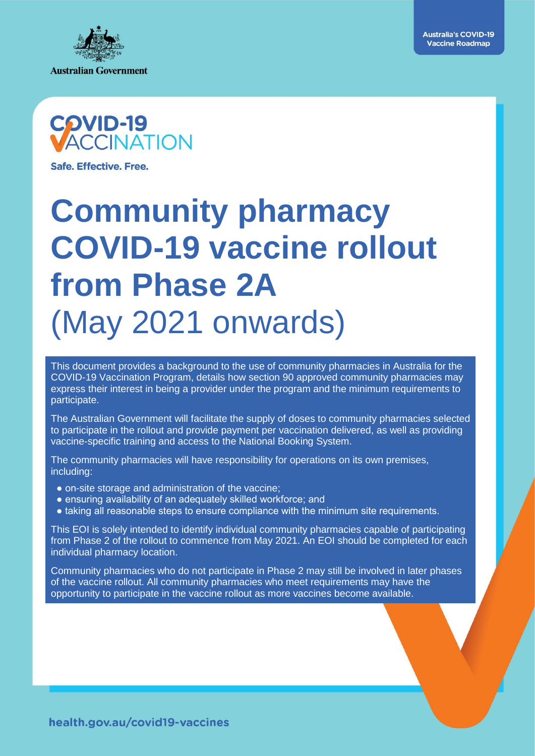



Safe, Effective, Free.

# **Community pharmacy COVID-19 vaccine rollout from Phase 2A**  (May 2021 onwards)

This document provides a background to the use of community pharmacies in Australia for the COVID-19 Vaccination Program, details how section 90 approved community pharmacies may express their interest in being a provider under the program and the minimum requirements to participate.

The Australian Government will facilitate the supply of doses to community pharmacies selected to participate in the rollout and provide payment per vaccination delivered, as well as providing vaccine-specific training and access to the National Booking System.

The community pharmacies will have responsibility for operations on its own premises, including:

- on-site storage and administration of the vaccine;
- ensuring availability of an adequately skilled workforce; and
- taking all reasonable steps to ensure compliance with the minimum site requirements.

This EOI is solely intended to identify individual community pharmacies capable of participating from Phase 2 of the rollout to commence from May 2021. An EOI should be completed for each individual pharmacy location.

Community pharmacies who do not participate in Phase 2 may still be involved in later phases of the vaccine rollout. All community pharmacies who meet requirements may have the opportunity to participate in the vaccine rollout as more vaccines become available.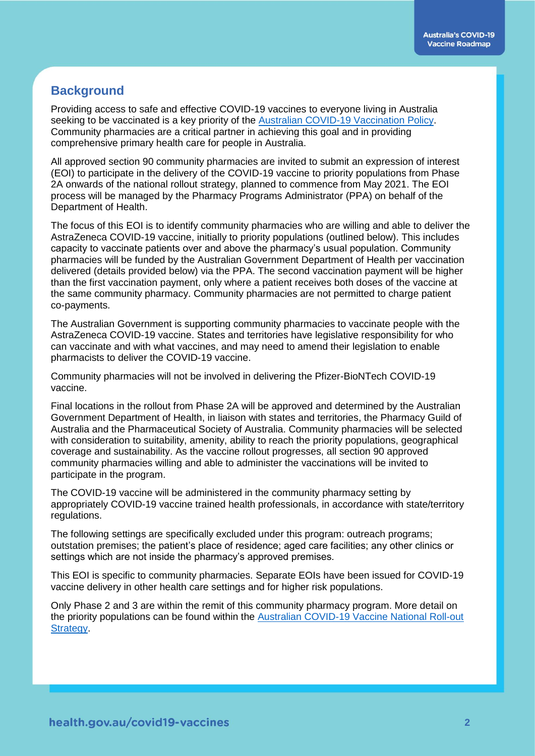# **Background**

Providing access to safe and effective COVID-19 vaccines to everyone living in Australia seeking to be vaccinated is a key priority of the [Australian COVID-19 Vaccination Policy.](https://www.health.gov.au/resources/publications/australian-covid-19-vaccination-policy) Community pharmacies are a critical partner in achieving this goal and in providing comprehensive primary health care for people in Australia.

All approved section 90 community pharmacies are invited to submit an expression of interest (EOI) to participate in the delivery of the COVID-19 vaccine to priority populations from Phase 2A onwards of the national rollout strategy, planned to commence from May 2021. The EOI process will be managed by the Pharmacy Programs Administrator (PPA) on behalf of the Department of Health.

The focus of this EOI is to identify community pharmacies who are willing and able to deliver the AstraZeneca COVID-19 vaccine, initially to priority populations (outlined below). This includes capacity to vaccinate patients over and above the pharmacy's usual population. Community pharmacies will be funded by the Australian Government Department of Health per vaccination delivered (details provided below) via the PPA. The second vaccination payment will be higher than the first vaccination payment, only where a patient receives both doses of the vaccine at the same community pharmacy. Community pharmacies are not permitted to charge patient co-payments.

The Australian Government is supporting community pharmacies to vaccinate people with the AstraZeneca COVID-19 vaccine. States and territories have legislative responsibility for who can vaccinate and with what vaccines, and may need to amend their legislation to enable pharmacists to deliver the COVID-19 vaccine.

Community pharmacies will not be involved in delivering the Pfizer-BioNTech COVID-19 vaccine.

Final locations in the rollout from Phase 2A will be approved and determined by the Australian Government Department of Health, in liaison with states and territories, the Pharmacy Guild of Australia and the Pharmaceutical Society of Australia. Community pharmacies will be selected with consideration to suitability, amenity, ability to reach the priority populations, geographical coverage and sustainability. As the vaccine rollout progresses, all section 90 approved community pharmacies willing and able to administer the vaccinations will be invited to participate in the program.

The COVID-19 vaccine will be administered in the community pharmacy setting by appropriately COVID-19 vaccine trained health professionals, in accordance with state/territory regulations.

The following settings are specifically excluded under this program: outreach programs; outstation premises; the patient's place of residence; aged care facilities; any other clinics or settings which are not inside the pharmacy's approved premises.

This EOI is specific to community pharmacies. Separate EOIs have been issued for COVID-19 vaccine delivery in other health care settings and for higher risk populations.

Only Phase 2 and 3 are within the remit of this community pharmacy program. More detail on the priority populations can be found within the [Australian COVID-19 Vaccine National Roll-out](https://www.health.gov.au/resources/publications/australias-covid-19-vaccine-national-roll-out-strategy)  **Strategy**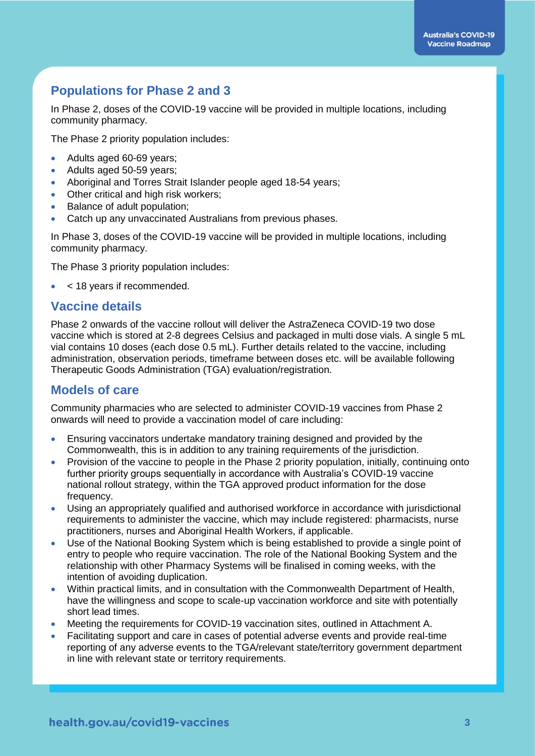# **Populations for Phase 2 and 3**

In Phase 2, doses of the COVID-19 vaccine will be provided in multiple locations, including community pharmacy.

The Phase 2 priority population includes:

- Adults aged 60-69 years;
- Adults aged 50-59 years;
- Aboriginal and Torres Strait Islander people aged 18-54 years;
- Other critical and high risk workers;
- Balance of adult population;
- Catch up any unvaccinated Australians from previous phases.

In Phase 3, doses of the COVID-19 vaccine will be provided in multiple locations, including community pharmacy.

The Phase 3 priority population includes:

< 18 years if recommended.

## **Vaccine details**

Phase 2 onwards of the vaccine rollout will deliver the AstraZeneca COVID-19 two dose vaccine which is stored at 2-8 degrees Celsius and packaged in multi dose vials. A single 5 mL vial contains 10 doses (each dose 0.5 mL). Further details related to the vaccine, including administration, observation periods, timeframe between doses etc. will be available following Therapeutic Goods Administration (TGA) evaluation/registration.

## **Models of care**

Community pharmacies who are selected to administer COVID-19 vaccines from Phase 2 onwards will need to provide a vaccination model of care including:

- Ensuring vaccinators undertake mandatory training designed and provided by the Commonwealth, this is in addition to any training requirements of the jurisdiction.
- Provision of the vaccine to people in the Phase 2 priority population, initially, continuing onto further priority groups sequentially in accordance with Australia's COVID-19 vaccine national rollout strategy, within the TGA approved product information for the dose frequency.
- Using an appropriately qualified and authorised workforce in accordance with jurisdictional requirements to administer the vaccine, which may include registered: pharmacists, nurse practitioners, nurses and Aboriginal Health Workers, if applicable.
- Use of the National Booking System which is being established to provide a single point of entry to people who require vaccination. The role of the National Booking System and the relationship with other Pharmacy Systems will be finalised in coming weeks, with the intention of avoiding duplication.
- Within practical limits, and in consultation with the Commonwealth Department of Health, have the willingness and scope to scale-up vaccination workforce and site with potentially short lead times.
- Meeting the requirements for COVID-19 vaccination sites, outlined in Attachment A.
- Facilitating support and care in cases of potential adverse events and provide real-time reporting of any adverse events to the TGA/relevant state/territory government department in line with relevant state or territory requirements.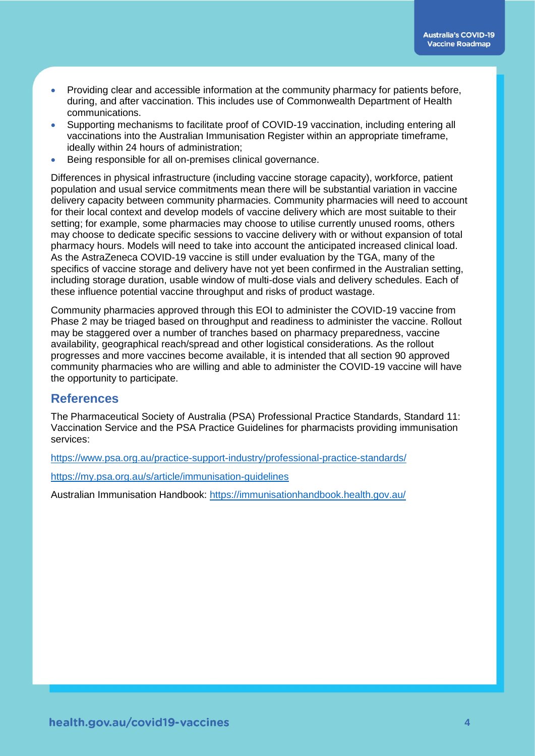- Providing clear and accessible information at the community pharmacy for patients before, during, and after vaccination. This includes use of Commonwealth Department of Health communications.
- Supporting mechanisms to facilitate proof of COVID-19 vaccination, including entering all vaccinations into the Australian Immunisation Register within an appropriate timeframe, ideally within 24 hours of administration;
- Being responsible for all on-premises clinical governance.

Differences in physical infrastructure (including vaccine storage capacity), workforce, patient population and usual service commitments mean there will be substantial variation in vaccine delivery capacity between community pharmacies. Community pharmacies will need to account for their local context and develop models of vaccine delivery which are most suitable to their setting; for example, some pharmacies may choose to utilise currently unused rooms, others may choose to dedicate specific sessions to vaccine delivery with or without expansion of total pharmacy hours. Models will need to take into account the anticipated increased clinical load. As the AstraZeneca COVID-19 vaccine is still under evaluation by the TGA, many of the specifics of vaccine storage and delivery have not yet been confirmed in the Australian setting, including storage duration, usable window of multi-dose vials and delivery schedules. Each of these influence potential vaccine throughput and risks of product wastage.

Community pharmacies approved through this EOI to administer the COVID-19 vaccine from Phase 2 may be triaged based on throughput and readiness to administer the vaccine. Rollout may be staggered over a number of tranches based on pharmacy preparedness, vaccine availability, geographical reach/spread and other logistical considerations. As the rollout progresses and more vaccines become available, it is intended that all section 90 approved community pharmacies who are willing and able to administer the COVID-19 vaccine will have the opportunity to participate.

## **References**

The Pharmaceutical Society of Australia (PSA) Professional Practice Standards, Standard 11: Vaccination Service and the PSA Practice Guidelines for pharmacists providing immunisation services:

<https://www.psa.org.au/practice-support-industry/professional-practice-standards/>

<https://my.psa.org.au/s/article/immunisation-guidelines>

Australian Immunisation Handbook:<https://immunisationhandbook.health.gov.au/>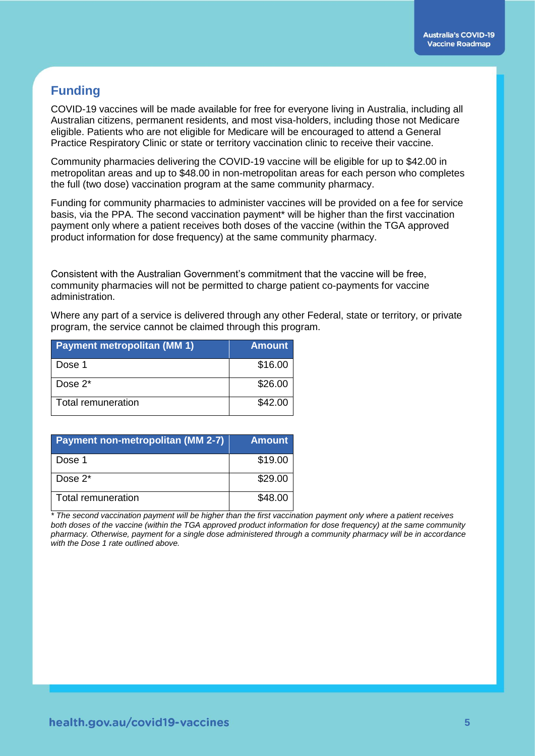# **Funding**

COVID-19 vaccines will be made available for free for everyone living in Australia, including all Australian citizens, permanent residents, and most visa-holders, including those not Medicare eligible. Patients who are not eligible for Medicare will be encouraged to attend a General Practice Respiratory Clinic or state or territory vaccination clinic to receive their vaccine.

Community pharmacies delivering the COVID-19 vaccine will be eligible for up to \$42.00 in metropolitan areas and up to \$48.00 in non-metropolitan areas for each person who completes the full (two dose) vaccination program at the same community pharmacy.

Funding for community pharmacies to administer vaccines will be provided on a fee for service basis, via the PPA. The second vaccination payment\* will be higher than the first vaccination payment only where a patient receives both doses of the vaccine (within the TGA approved product information for dose frequency) at the same community pharmacy.

Consistent with the Australian Government's commitment that the vaccine will be free, community pharmacies will not be permitted to charge patient co-payments for vaccine administration.

Where any part of a service is delivered through any other Federal, state or territory, or private program, the service cannot be claimed through this program.

| <b>Payment metropolitan (MM 1)</b> | <b>Amount</b> |
|------------------------------------|---------------|
| Dose 1                             | \$16.00       |
| Dose $2^*$                         | \$26.00       |
| Total remuneration                 | \$42.00       |

| <b>Payment non-metropolitan (MM 2-7)</b> | <b>Amount</b> |
|------------------------------------------|---------------|
| Dose 1                                   | \$19.00       |
| Dose $2^*$                               | \$29.00       |
| Total remuneration                       | \$48.00       |

*\* The second vaccination payment will be higher than the first vaccination payment only where a patient receives both doses of the vaccine (within the TGA approved product information for dose frequency) at the same community pharmacy. Otherwise, payment for a single dose administered through a community pharmacy will be in accordance with the Dose 1 rate outlined above.*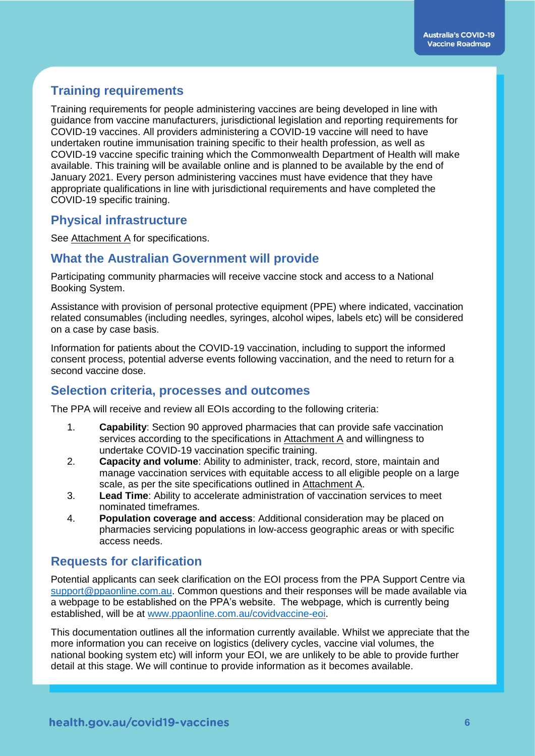# **Training requirements**

Training requirements for people administering vaccines are being developed in line with guidance from vaccine manufacturers, jurisdictional legislation and reporting requirements for COVID-19 vaccines. All providers administering a COVID-19 vaccine will need to have undertaken routine immunisation training specific to their health profession, as well as COVID-19 vaccine specific training which the Commonwealth Department of Health will make available. This training will be available online and is planned to be available by the end of January 2021. Every person administering vaccines must have evidence that they have appropriate qualifications in line with jurisdictional requirements and have completed the COVID-19 specific training.

## **Physical infrastructure**

See Attachment A for specifications.

## **What the Australian Government will provide**

Participating community pharmacies will receive vaccine stock and access to a National Booking System.

Assistance with provision of personal protective equipment (PPE) where indicated, vaccination related consumables (including needles, syringes, alcohol wipes, labels etc) will be considered on a case by case basis.

Information for patients about the COVID-19 vaccination, including to support the informed consent process, potential adverse events following vaccination, and the need to return for a second vaccine dose.

## **Selection criteria, processes and outcomes**

The PPA will receive and review all EOIs according to the following criteria:

- 1. **Capability**: Section 90 approved pharmacies that can provide safe vaccination services according to the specifications in Attachment A and willingness to undertake COVID-19 vaccination specific training.
- 2. **Capacity and volume**: Ability to administer, track, record, store, maintain and manage vaccination services with equitable access to all eligible people on a large scale, as per the site specifications outlined in Attachment A.
- 3. **Lead Time**: Ability to accelerate administration of vaccination services to meet nominated timeframes.
- 4. **Population coverage and access**: Additional consideration may be placed on pharmacies servicing populations in low-access geographic areas or with specific access needs.

## **Requests for clarification**

Potential applicants can seek clarification on the EOI process from the PPA Support Centre via [support@ppaonline.com.au.](mailto:support@ppaonline.com.au) Common questions and their responses will be made available via a webpage to be established on the PPA's website. The webpage, which is currently being established, will be at [www.ppaonline.com.au/covidvaccine-eoi.](http://www.ppaonline.com.au/covidvaccine-eoi)

This documentation outlines all the information currently available. Whilst we appreciate that the more information you can receive on logistics (delivery cycles, vaccine vial volumes, the national booking system etc) will inform your EOI, we are unlikely to be able to provide further detail at this stage. We will continue to provide information as it becomes available.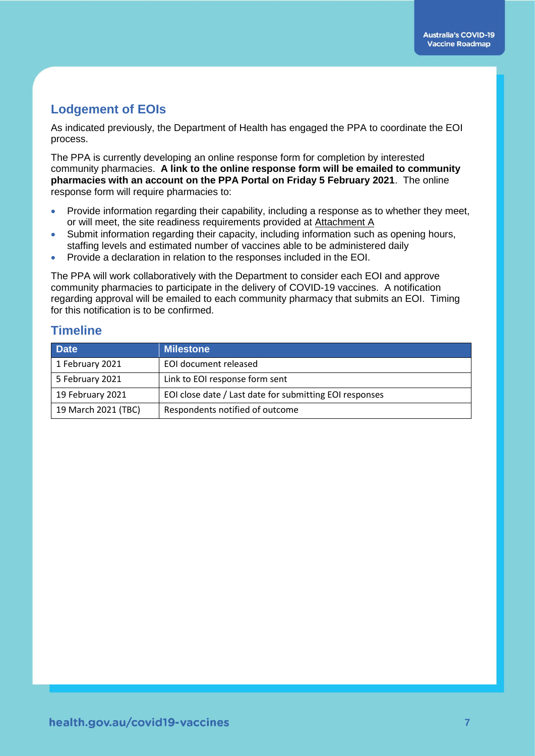# **Lodgement of EOIs**

As indicated previously, the Department of Health has engaged the PPA to coordinate the EOI process.

The PPA is currently developing an online response form for completion by interested community pharmacies. **A link to the online response form will be emailed to community pharmacies with an account on the PPA Portal on Friday 5 February 2021**. The online response form will require pharmacies to:

- Provide information regarding their capability, including a response as to whether they meet, or will meet, the site readiness requirements provided at Attachment A
- Submit information regarding their capacity, including information such as opening hours, staffing levels and estimated number of vaccines able to be administered daily
- Provide a declaration in relation to the responses included in the EOI.

The PPA will work collaboratively with the Department to consider each EOI and approve community pharmacies to participate in the delivery of COVID-19 vaccines. A notification regarding approval will be emailed to each community pharmacy that submits an EOI. Timing for this notification is to be confirmed.

# **Timeline**

| <b>Date</b>         | <b>Milestone</b>                                        |
|---------------------|---------------------------------------------------------|
| 1 February 2021     | EOI document released                                   |
| 5 February 2021     | Link to EOI response form sent                          |
| 19 February 2021    | EOI close date / Last date for submitting EOI responses |
| 19 March 2021 (TBC) | Respondents notified of outcome                         |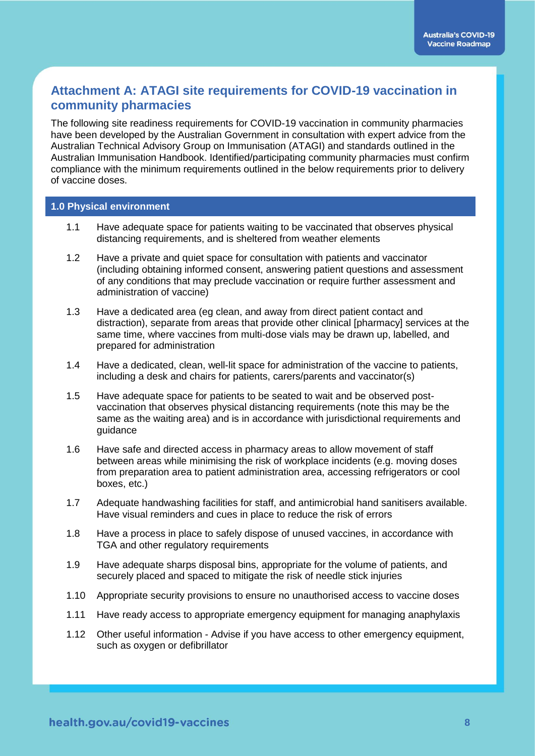# **Attachment A: ATAGI site requirements for COVID-19 vaccination in community pharmacies**

The following site readiness requirements for COVID-19 vaccination in community pharmacies have been developed by the Australian Government in consultation with expert advice from the Australian Technical Advisory Group on Immunisation (ATAGI) and standards outlined in the Australian Immunisation Handbook. Identified/participating community pharmacies must confirm compliance with the minimum requirements outlined in the below requirements prior to delivery of vaccine doses.

#### **1.0 Physical environment**

- 1.1 Have adequate space for patients waiting to be vaccinated that observes physical distancing requirements, and is sheltered from weather elements
- 1.2 Have a private and quiet space for consultation with patients and vaccinator (including obtaining informed consent, answering patient questions and assessment of any conditions that may preclude vaccination or require further assessment and administration of vaccine)
- 1.3 Have a dedicated area (eg clean, and away from direct patient contact and distraction), separate from areas that provide other clinical [pharmacy] services at the same time, where vaccines from multi-dose vials may be drawn up, labelled, and prepared for administration
- 1.4 Have a dedicated, clean, well-lit space for administration of the vaccine to patients, including a desk and chairs for patients, carers/parents and vaccinator(s)
- 1.5 Have adequate space for patients to be seated to wait and be observed postvaccination that observes physical distancing requirements (note this may be the same as the waiting area) and is in accordance with jurisdictional requirements and guidance
- 1.6 Have safe and directed access in pharmacy areas to allow movement of staff between areas while minimising the risk of workplace incidents (e.g. moving doses from preparation area to patient administration area, accessing refrigerators or cool boxes, etc.)
- 1.7 Adequate handwashing facilities for staff, and antimicrobial hand sanitisers available. Have visual reminders and cues in place to reduce the risk of errors
- 1.8 Have a process in place to safely dispose of unused vaccines, in accordance with TGA and other regulatory requirements
- 1.9 Have adequate sharps disposal bins, appropriate for the volume of patients, and securely placed and spaced to mitigate the risk of needle stick injuries
- 1.10 Appropriate security provisions to ensure no unauthorised access to vaccine doses
- 1.11 Have ready access to appropriate emergency equipment for managing anaphylaxis
- 1.12 Other useful information Advise if you have access to other emergency equipment, such as oxygen or defibrillator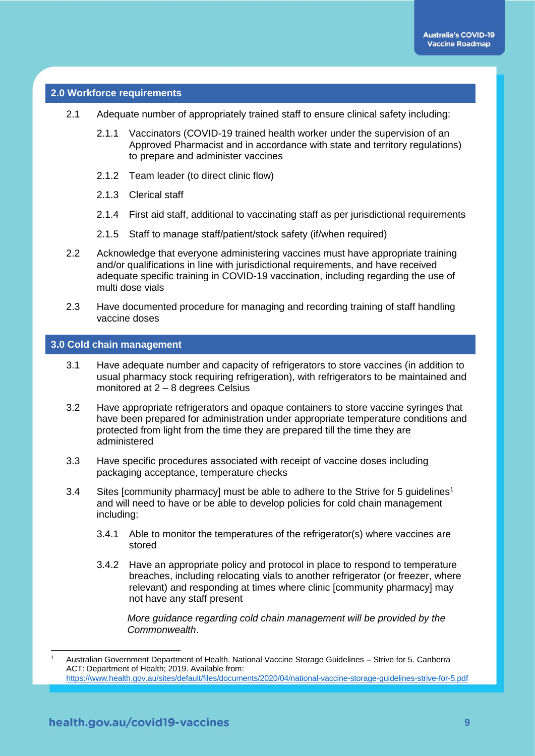#### **2.0 Workforce requirements**

- 2.1 Adequate number of appropriately trained staff to ensure clinical safety including:
	- 2.1.1 Vaccinators (COVID-19 trained health worker under the supervision of an Approved Pharmacist and in accordance with state and territory regulations) to prepare and administer vaccines
	- 2.1.2 Team leader (to direct clinic flow)
	- 2.1.3 Clerical staff
	- 2.1.4 First aid staff, additional to vaccinating staff as per jurisdictional requirements
	- 2.1.5 Staff to manage staff/patient/stock safety (if/when required)
- 2.2 Acknowledge that everyone administering vaccines must have appropriate training and/or qualifications in line with jurisdictional requirements, and have received adequate specific training in COVID-19 vaccination, including regarding the use of multi dose vials
- 2.3 Have documented procedure for managing and recording training of staff handling vaccine doses

#### **3.0 Cold chain management**

- 3.1 Have adequate number and capacity of refrigerators to store vaccines (in addition to usual pharmacy stock requiring refrigeration), with refrigerators to be maintained and monitored at 2 – 8 degrees Celsius
- 3.2 Have appropriate refrigerators and opaque containers to store vaccine syringes that have been prepared for administration under appropriate temperature conditions and protected from light from the time they are prepared till the time they are administered
- 3.3 Have specific procedures associated with receipt of vaccine doses including packaging acceptance, temperature checks
- 3.4 Sites [community pharmacy] must be able to adhere to the Strive for 5 guidelines<sup>1</sup> and will need to have or be able to develop policies for cold chain management including:
	- 3.4.1 Able to monitor the temperatures of the refrigerator(s) where vaccines are stored
	- 3.4.2 Have an appropriate policy and protocol in place to respond to temperature breaches, including relocating vials to another refrigerator (or freezer, where relevant) and responding at times where clinic [community pharmacy] may not have any staff present

*More guidance regarding cold chain management will be provided by the Commonwealth*.

-

Australian Government Department of Health. National Vaccine Storage Guidelines – Strive for 5. Canberra ACT: Department of Health; 2019. Available from: <https://www.health.gov.au/sites/default/files/documents/2020/04/national-vaccine-storage-guidelines-strive-for-5.pdf>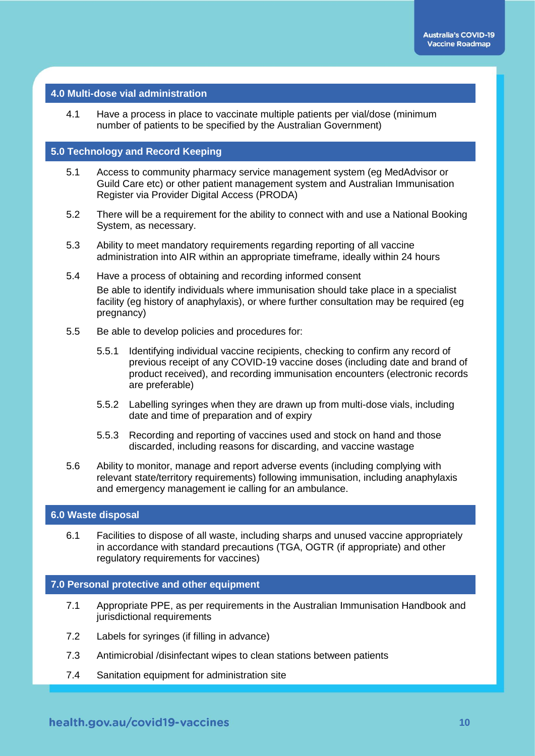#### **4.0 Multi-dose vial administration**

4.1 Have a process in place to vaccinate multiple patients per vial/dose (minimum number of patients to be specified by the Australian Government)

#### **5.0 Technology and Record Keeping**

- 5.1 Access to community pharmacy service management system (eg MedAdvisor or Guild Care etc) or other patient management system and Australian Immunisation Register via Provider Digital Access (PRODA)
- 5.2 There will be a requirement for the ability to connect with and use a National Booking System, as necessary.
- 5.3 Ability to meet mandatory requirements regarding reporting of all vaccine administration into AIR within an appropriate timeframe, ideally within 24 hours
- 5.4 Have a process of obtaining and recording informed consent Be able to identify individuals where immunisation should take place in a specialist facility (eg history of anaphylaxis), or where further consultation may be required (eg pregnancy)
- 5.5 Be able to develop policies and procedures for:
	- 5.5.1 Identifying individual vaccine recipients, checking to confirm any record of previous receipt of any COVID-19 vaccine doses (including date and brand of product received), and recording immunisation encounters (electronic records are preferable)
	- 5.5.2 Labelling syringes when they are drawn up from multi-dose vials, including date and time of preparation and of expiry
	- 5.5.3 Recording and reporting of vaccines used and stock on hand and those discarded, including reasons for discarding, and vaccine wastage
- 5.6 Ability to monitor, manage and report adverse events (including complying with relevant state/territory requirements) following immunisation, including anaphylaxis and emergency management ie calling for an ambulance.

#### **6.0 Waste disposal**

6.1 Facilities to dispose of all waste, including sharps and unused vaccine appropriately in accordance with standard precautions (TGA, OGTR (if appropriate) and other regulatory requirements for vaccines)

#### **7.0 Personal protective and other equipment**

- 7.1 Appropriate PPE, as per requirements in the Australian Immunisation Handbook and jurisdictional requirements
- 7.2 Labels for syringes (if filling in advance)
- 7.3 Antimicrobial /disinfectant wipes to clean stations between patients
- 7.4 Sanitation equipment for administration site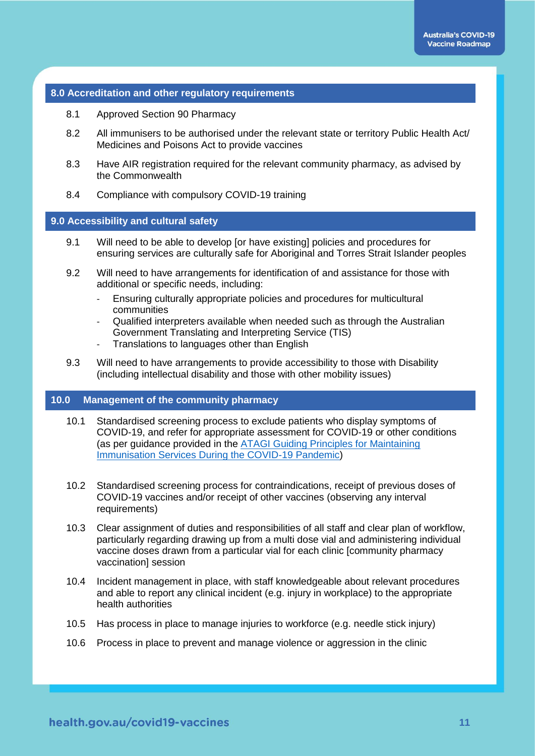#### **8.0 Accreditation and other regulatory requirements**

- 8.1 Approved Section 90 Pharmacy
- 8.2 All immunisers to be authorised under the relevant state or territory Public Health Act/ Medicines and Poisons Act to provide vaccines
- 8.3 Have AIR registration required for the relevant community pharmacy, as advised by the Commonwealth
- 8.4 Compliance with compulsory COVID-19 training

#### **9.0 Accessibility and cultural safety**

- 9.1 Will need to be able to develop [or have existing] policies and procedures for ensuring services are culturally safe for Aboriginal and Torres Strait Islander peoples
- 9.2 Will need to have arrangements for identification of and assistance for those with additional or specific needs, including:
	- Ensuring culturally appropriate policies and procedures for multicultural communities
	- Qualified interpreters available when needed such as through the Australian Government Translating and Interpreting Service (TIS)
	- Translations to languages other than English
- 9.3 Will need to have arrangements to provide accessibility to those with Disability (including intellectual disability and those with other mobility issues)

#### **10.0 Management of the community pharmacy**

- 10.1 Standardised screening process to exclude patients who display symptoms of COVID-19, and refer for appropriate assessment for COVID-19 or other conditions (as per guidance provided in the [ATAGI Guiding Principles for Maintaining](https://www.health.gov.au/resources/publications/atagi-guiding-principles-for-maintaining-immunisation-services-during-covid-19-pandemic)  [Immunisation Services During the COVID-19 Pandemic\)](https://www.health.gov.au/resources/publications/atagi-guiding-principles-for-maintaining-immunisation-services-during-covid-19-pandemic)
- 10.2 Standardised screening process for contraindications, receipt of previous doses of COVID-19 vaccines and/or receipt of other vaccines (observing any interval requirements)
- 10.3 Clear assignment of duties and responsibilities of all staff and clear plan of workflow, particularly regarding drawing up from a multi dose vial and administering individual vaccine doses drawn from a particular vial for each clinic [community pharmacy vaccination] session
- 10.4 Incident management in place, with staff knowledgeable about relevant procedures and able to report any clinical incident (e.g. injury in workplace) to the appropriate health authorities
- 10.5 Has process in place to manage injuries to workforce (e.g. needle stick injury)
- 10.6 Process in place to prevent and manage violence or aggression in the clinic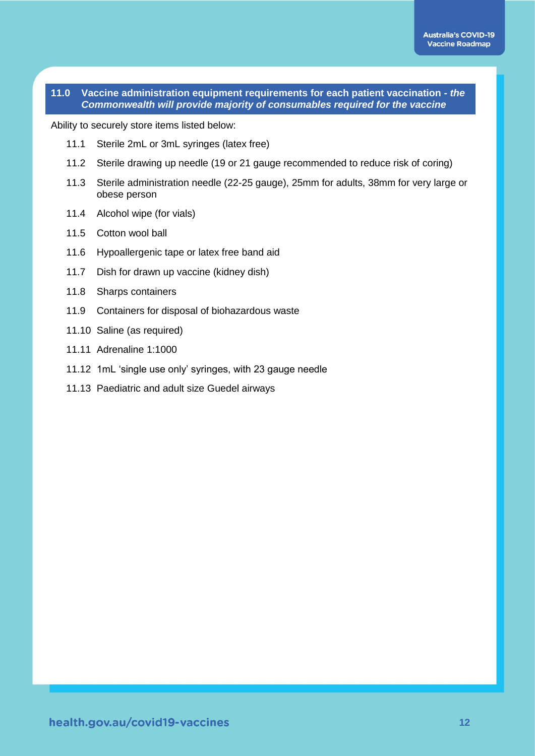#### **11.0 Vaccine administration equipment requirements for each patient vaccination -** *the Commonwealth will provide majority of consumables required for the vaccine*

Ability to securely store items listed below:

- 11.1 Sterile 2mL or 3mL syringes (latex free)
- 11.2 Sterile drawing up needle (19 or 21 gauge recommended to reduce risk of coring)
- 11.3 Sterile administration needle (22-25 gauge), 25mm for adults, 38mm for very large or obese person
- 11.4 Alcohol wipe (for vials)
- 11.5 Cotton wool ball
- 11.6 Hypoallergenic tape or latex free band aid
- 11.7 Dish for drawn up vaccine (kidney dish)
- 11.8 Sharps containers
- 11.9 Containers for disposal of biohazardous waste
- 11.10 Saline (as required)
- 11.11 Adrenaline 1:1000
- 11.12 1mL 'single use only' syringes, with 23 gauge needle
- 11.13 Paediatric and adult size Guedel airways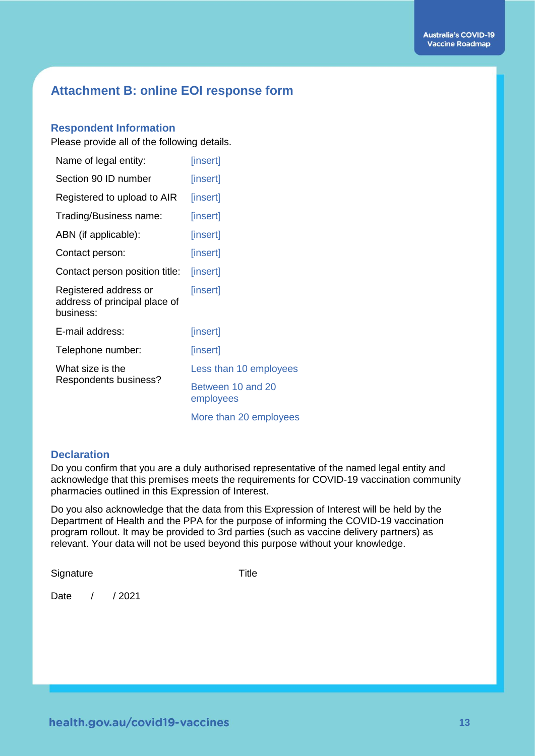# **Attachment B: online EOI response form**

#### **Respondent Information**

Please provide all of the following details.

| Name of legal entity:                                               | [insert]                       |
|---------------------------------------------------------------------|--------------------------------|
| Section 90 ID number                                                | [insert]                       |
| Registered to upload to AIR                                         | [insert]                       |
| Trading/Business name:                                              | [insert]                       |
| ABN (if applicable):                                                | [insert]                       |
| Contact person:                                                     | [insert]                       |
| Contact person position title:                                      | [insert]                       |
| Registered address or<br>address of principal place of<br>business: | [insert]                       |
| E-mail address:                                                     | [insert]                       |
| Telephone number:                                                   | [insert]                       |
| What size is the<br>Respondents business?                           | Less than 10 employees         |
|                                                                     | Between 10 and 20<br>employees |
|                                                                     | More than 20 employees         |

#### **Declaration**

Do you confirm that you are a duly authorised representative of the named legal entity and acknowledge that this premises meets the requirements for COVID-19 vaccination community pharmacies outlined in this Expression of Interest.

Do you also acknowledge that the data from this Expression of Interest will be held by the Department of Health and the PPA for the purpose of informing the COVID-19 vaccination program rollout. It may be provided to 3rd parties (such as vaccine delivery partners) as relevant. Your data will not be used beyond this purpose without your knowledge.

Signature Title

Date / / 2021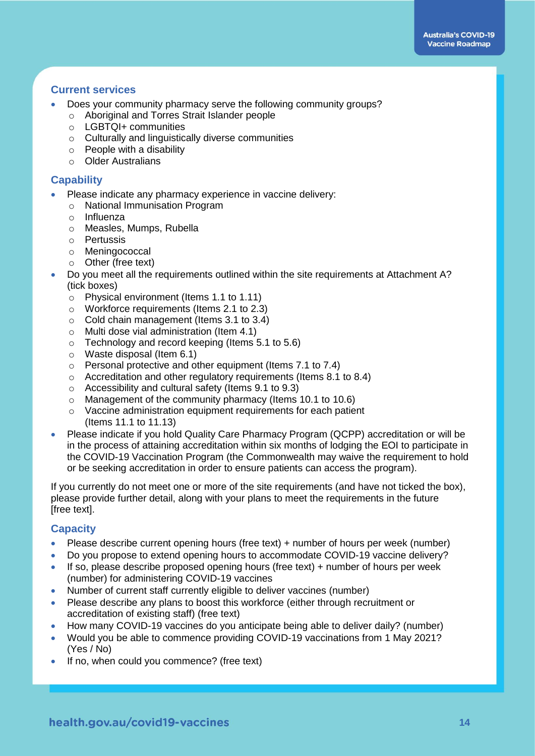### **Current services**

- Does your community pharmacy serve the following community groups?
	- o Aboriginal and Torres Strait Islander people
	- o LGBTQI+ communities
	- o Culturally and linguistically diverse communities
	- o People with a disability
	- o Older Australians

#### **Capability**

- Please indicate any pharmacy experience in vaccine delivery:
	- o National Immunisation Program
	- o Influenza
	- o Measles, Mumps, Rubella
	- o Pertussis
	- o Meningococcal
	- o Other (free text)
- Do you meet all the requirements outlined within the site requirements at Attachment A? (tick boxes)
	- o Physical environment (Items 1.1 to 1.11)
	- o Workforce requirements (Items 2.1 to 2.3)
	- o Cold chain management (Items 3.1 to 3.4)
	- o Multi dose vial administration (Item 4.1)
	- o Technology and record keeping (Items 5.1 to 5.6)
	- o Waste disposal (Item 6.1)
	- o Personal protective and other equipment (Items 7.1 to 7.4)
	- o Accreditation and other regulatory requirements (Items 8.1 to 8.4)
	- o Accessibility and cultural safety (Items 9.1 to 9.3)
	- o Management of the community pharmacy (Items 10.1 to 10.6)
	- o Vaccine administration equipment requirements for each patient (Items 11.1 to 11.13)
- Please indicate if you hold Quality Care Pharmacy Program (QCPP) accreditation or will be in the process of attaining accreditation within six months of lodging the EOI to participate in the COVID-19 Vaccination Program (the Commonwealth may waive the requirement to hold or be seeking accreditation in order to ensure patients can access the program).

If you currently do not meet one or more of the site requirements (and have not ticked the box), please provide further detail, along with your plans to meet the requirements in the future [free text].

#### **Capacity**

- Please describe current opening hours (free text) + number of hours per week (number)
- Do you propose to extend opening hours to accommodate COVID-19 vaccine delivery?
- If so, please describe proposed opening hours (free text)  $+$  number of hours per week (number) for administering COVID-19 vaccines
- Number of current staff currently eligible to deliver vaccines (number)
- Please describe any plans to boost this workforce (either through recruitment or accreditation of existing staff) (free text)
- How many COVID-19 vaccines do you anticipate being able to deliver daily? (number)
- Would you be able to commence providing COVID-19 vaccinations from 1 May 2021? (Yes / No)
- If no, when could you commence? (free text)